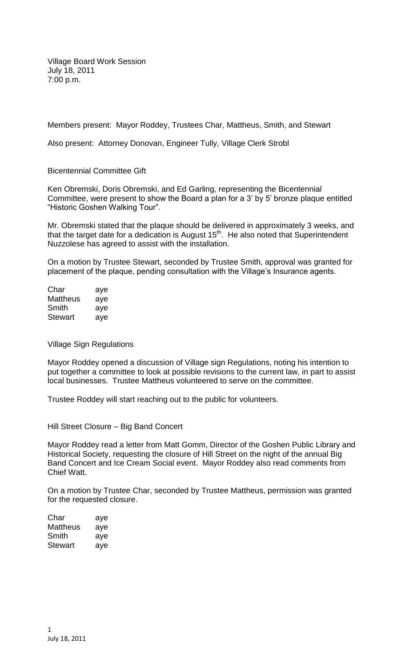Village Board Work Session July 18, 2011 7:00 p.m.

Members present: Mayor Roddey, Trustees Char, Mattheus, Smith, and Stewart

Also present: Attorney Donovan, Engineer Tully, Village Clerk Strobl

Bicentennial Committee Gift

Ken Obremski, Doris Obremski, and Ed Garling, representing the Bicentennial Committee, were present to show the Board a plan for a 3' by 5' bronze plaque entitled "Historic Goshen Walking Tour".

Mr. Obremski stated that the plaque should be delivered in approximately 3 weeks, and that the target date for a dedication is August  $15<sup>th</sup>$ . He also noted that Superintendent Nuzzolese has agreed to assist with the installation.

On a motion by Trustee Stewart, seconded by Trustee Smith, approval was granted for placement of the plaque, pending consultation with the Village's Insurance agents.

| Char     | aye |
|----------|-----|
| Mattheus | aye |
| Smith    | aye |
| Stewart  | aye |

Village Sign Regulations

Mayor Roddey opened a discussion of Village sign Regulations, noting his intention to put together a committee to look at possible revisions to the current law, in part to assist local businesses. Trustee Mattheus volunteered to serve on the committee.

Trustee Roddey will start reaching out to the public for volunteers.

Hill Street Closure – Big Band Concert

Mayor Roddey read a letter from Matt Gomm, Director of the Goshen Public Library and Historical Society, requesting the closure of Hill Street on the night of the annual Big Band Concert and Ice Cream Social event. Mayor Roddey also read comments from Chief Watt.

On a motion by Trustee Char, seconded by Trustee Mattheus, permission was granted for the requested closure.

| Char     | aye |
|----------|-----|
| Mattheus | aye |
| Smith    | aye |
| Stewart  | ave |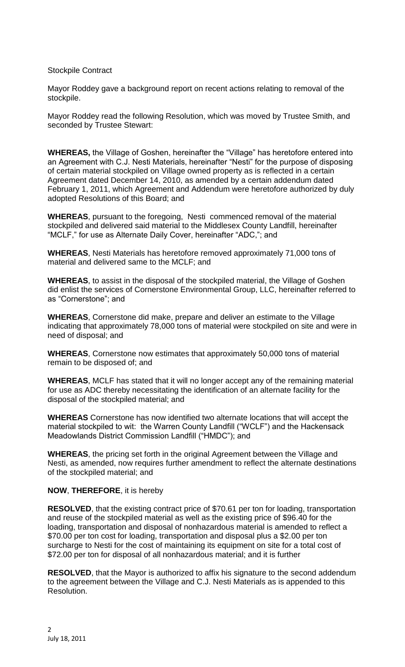## Stockpile Contract

Mayor Roddey gave a background report on recent actions relating to removal of the stockpile.

Mayor Roddey read the following Resolution, which was moved by Trustee Smith, and seconded by Trustee Stewart:

**WHEREAS,** the Village of Goshen, hereinafter the "Village" has heretofore entered into an Agreement with C.J. Nesti Materials, hereinafter "Nesti" for the purpose of disposing of certain material stockpiled on Village owned property as is reflected in a certain Agreement dated December 14, 2010, as amended by a certain addendum dated February 1, 2011, which Agreement and Addendum were heretofore authorized by duly adopted Resolutions of this Board; and

**WHEREAS**, pursuant to the foregoing, Nesti commenced removal of the material stockpiled and delivered said material to the Middlesex County Landfill, hereinafter "MCLF," for use as Alternate Daily Cover, hereinafter "ADC,"; and

**WHEREAS**, Nesti Materials has heretofore removed approximately 71,000 tons of material and delivered same to the MCLF; and

**WHEREAS**, to assist in the disposal of the stockpiled material, the Village of Goshen did enlist the services of Cornerstone Environmental Group, LLC, hereinafter referred to as "Cornerstone"; and

**WHEREAS**, Cornerstone did make, prepare and deliver an estimate to the Village indicating that approximately 78,000 tons of material were stockpiled on site and were in need of disposal; and

**WHEREAS**, Cornerstone now estimates that approximately 50,000 tons of material remain to be disposed of; and

**WHEREAS**, MCLF has stated that it will no longer accept any of the remaining material for use as ADC thereby necessitating the identification of an alternate facility for the disposal of the stockpiled material; and

**WHEREAS** Cornerstone has now identified two alternate locations that will accept the material stockpiled to wit: the Warren County Landfill ("WCLF") and the Hackensack Meadowlands District Commission Landfill ("HMDC"); and

**WHEREAS**, the pricing set forth in the original Agreement between the Village and Nesti, as amended, now requires further amendment to reflect the alternate destinations of the stockpiled material; and

### **NOW**, **THEREFORE**, it is hereby

**RESOLVED**, that the existing contract price of \$70.61 per ton for loading, transportation and reuse of the stockpiled material as well as the existing price of \$96.40 for the loading, transportation and disposal of nonhazardous material is amended to reflect a \$70.00 per ton cost for loading, transportation and disposal plus a \$2.00 per ton surcharge to Nesti for the cost of maintaining its equipment on site for a total cost of \$72.00 per ton for disposal of all nonhazardous material; and it is further

**RESOLVED**, that the Mayor is authorized to affix his signature to the second addendum to the agreement between the Village and C.J. Nesti Materials as is appended to this Resolution.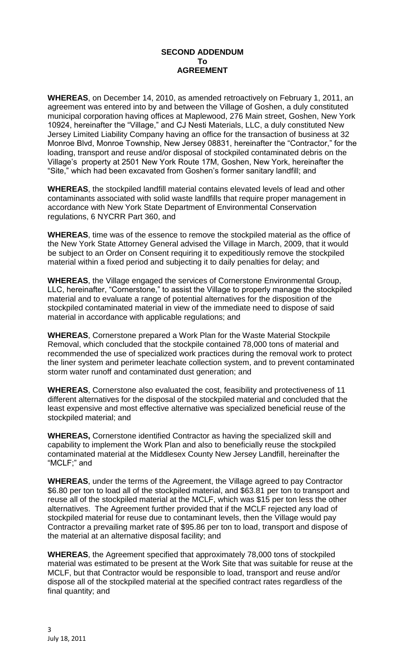### **SECOND ADDENDUM To AGREEMENT**

**WHEREAS**, on December 14, 2010, as amended retroactively on February 1, 2011, an agreement was entered into by and between the Village of Goshen, a duly constituted municipal corporation having offices at Maplewood, 276 Main street, Goshen, New York 10924, hereinafter the "Village," and CJ Nesti Materials, LLC, a duly constituted New Jersey Limited Liability Company having an office for the transaction of business at 32 Monroe Blvd, Monroe Township, New Jersey 08831, hereinafter the "Contractor," for the loading, transport and reuse and/or disposal of stockpiled contaminated debris on the Village's property at 2501 New York Route 17M, Goshen, New York, hereinafter the "Site," which had been excavated from Goshen's former sanitary landfill; and

**WHEREAS**, the stockpiled landfill material contains elevated levels of lead and other contaminants associated with solid waste landfills that require proper management in accordance with New York State Department of Environmental Conservation regulations, 6 NYCRR Part 360, and

**WHEREAS**, time was of the essence to remove the stockpiled material as the office of the New York State Attorney General advised the Village in March, 2009, that it would be subject to an Order on Consent requiring it to expeditiously remove the stockpiled material within a fixed period and subjecting it to daily penalties for delay; and

**WHEREAS**, the Village engaged the services of Cornerstone Environmental Group, LLC, hereinafter, "Cornerstone," to assist the Village to properly manage the stockpiled material and to evaluate a range of potential alternatives for the disposition of the stockpiled contaminated material in view of the immediate need to dispose of said material in accordance with applicable regulations; and

**WHEREAS**, Cornerstone prepared a Work Plan for the Waste Material Stockpile Removal, which concluded that the stockpile contained 78,000 tons of material and recommended the use of specialized work practices during the removal work to protect the liner system and perimeter leachate collection system, and to prevent contaminated storm water runoff and contaminated dust generation; and

**WHEREAS**, Cornerstone also evaluated the cost, feasibility and protectiveness of 11 different alternatives for the disposal of the stockpiled material and concluded that the least expensive and most effective alternative was specialized beneficial reuse of the stockpiled material; and

**WHEREAS,** Cornerstone identified Contractor as having the specialized skill and capability to implement the Work Plan and also to beneficially reuse the stockpiled contaminated material at the Middlesex County New Jersey Landfill, hereinafter the "MCLF;" and

**WHEREAS**, under the terms of the Agreement, the Village agreed to pay Contractor \$6.80 per ton to load all of the stockpiled material, and \$63.81 per ton to transport and reuse all of the stockpiled material at the MCLF, which was \$15 per ton less the other alternatives. The Agreement further provided that if the MCLF rejected any load of stockpiled material for reuse due to contaminant levels, then the Village would pay Contractor a prevailing market rate of \$95.86 per ton to load, transport and dispose of the material at an alternative disposal facility; and

**WHEREAS**, the Agreement specified that approximately 78,000 tons of stockpiled material was estimated to be present at the Work Site that was suitable for reuse at the MCLF, but that Contractor would be responsible to load, transport and reuse and/or dispose all of the stockpiled material at the specified contract rates regardless of the final quantity; and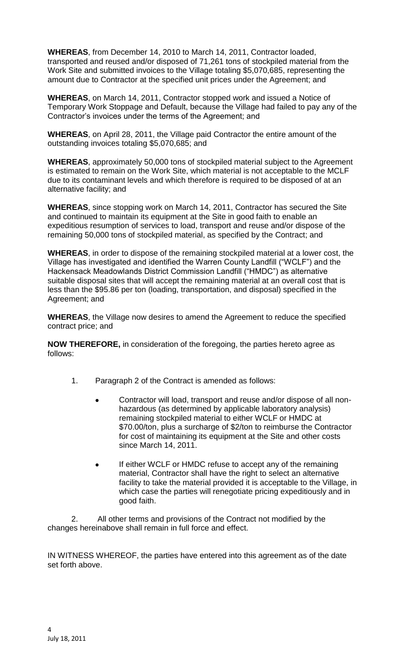**WHEREAS**, from December 14, 2010 to March 14, 2011, Contractor loaded, transported and reused and/or disposed of 71,261 tons of stockpiled material from the Work Site and submitted invoices to the Village totaling \$5,070,685, representing the amount due to Contractor at the specified unit prices under the Agreement; and

**WHEREAS**, on March 14, 2011, Contractor stopped work and issued a Notice of Temporary Work Stoppage and Default, because the Village had failed to pay any of the Contractor's invoices under the terms of the Agreement; and

**WHEREAS**, on April 28, 2011, the Village paid Contractor the entire amount of the outstanding invoices totaling \$5,070,685; and

**WHEREAS**, approximately 50,000 tons of stockpiled material subject to the Agreement is estimated to remain on the Work Site, which material is not acceptable to the MCLF due to its contaminant levels and which therefore is required to be disposed of at an alternative facility; and

**WHEREAS**, since stopping work on March 14, 2011, Contractor has secured the Site and continued to maintain its equipment at the Site in good faith to enable an expeditious resumption of services to load, transport and reuse and/or dispose of the remaining 50,000 tons of stockpiled material, as specified by the Contract; and

**WHEREAS**, in order to dispose of the remaining stockpiled material at a lower cost, the Village has investigated and identified the Warren County Landfill ("WCLF") and the Hackensack Meadowlands District Commission Landfill ("HMDC") as alternative suitable disposal sites that will accept the remaining material at an overall cost that is less than the \$95.86 per ton (loading, transportation, and disposal) specified in the Agreement; and

**WHEREAS**, the Village now desires to amend the Agreement to reduce the specified contract price; and

**NOW THEREFORE,** in consideration of the foregoing, the parties hereto agree as follows:

- 1. Paragraph 2 of the Contract is amended as follows:
	- Contractor will load, transport and reuse and/or dispose of all nonhazardous (as determined by applicable laboratory analysis) remaining stockpiled material to either WCLF or HMDC at \$70.00/ton, plus a surcharge of \$2/ton to reimburse the Contractor for cost of maintaining its equipment at the Site and other costs since March 14, 2011.
	- If either WCLF or HMDC refuse to accept any of the remaining material, Contractor shall have the right to select an alternative facility to take the material provided it is acceptable to the Village, in which case the parties will renegotiate pricing expeditiously and in good faith.

2. All other terms and provisions of the Contract not modified by the changes hereinabove shall remain in full force and effect.

IN WITNESS WHEREOF, the parties have entered into this agreement as of the date set forth above.